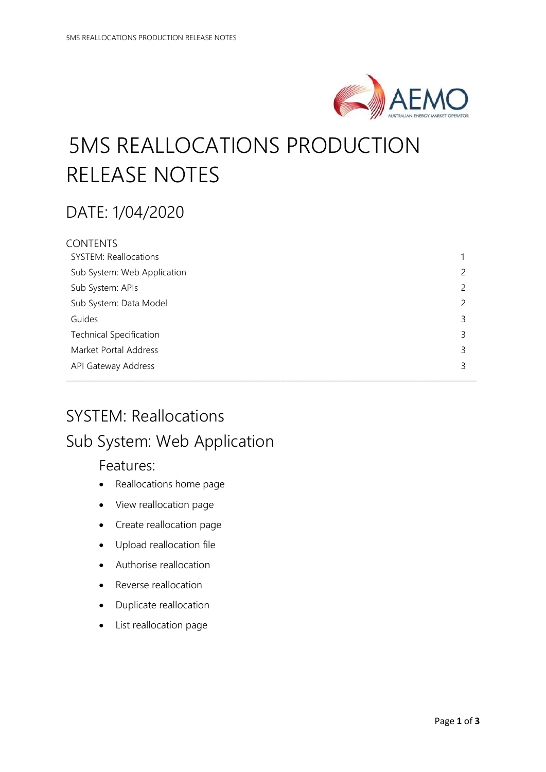

# 5MS REALLOCATIONS PRODUCTION RELEASE NOTES

# DATE: 1/04/2020

| CONTENTS                       |   |
|--------------------------------|---|
| <b>SYSTEM: Reallocations</b>   |   |
| Sub System: Web Application    | 2 |
| Sub System: APIs               | 2 |
| Sub System: Data Model         | 2 |
| Guides                         | 3 |
| <b>Technical Specification</b> | 3 |
| Market Portal Address          | 3 |
| API Gateway Address            | 3 |
|                                |   |

\_\_\_\_\_\_\_\_\_\_\_\_\_\_\_\_\_\_\_\_\_\_\_\_\_\_\_\_\_\_\_\_\_\_\_\_\_\_\_\_\_\_\_\_\_\_\_\_\_\_\_\_\_\_\_\_\_\_\_\_\_\_\_\_\_\_\_\_\_\_\_\_\_\_\_\_\_\_\_\_\_\_\_\_\_\_\_\_\_\_\_\_\_\_\_\_\_\_\_\_\_\_\_\_\_\_\_\_\_\_\_\_\_\_\_\_\_\_\_\_\_\_\_\_\_\_\_\_\_\_\_\_\_\_\_\_\_\_\_\_\_\_\_\_\_\_\_\_\_\_\_\_\_\_\_\_\_\_\_\_\_\_\_\_\_\_\_\_\_\_\_\_\_\_\_\_\_\_\_\_

# SYSTEM: Reallocations Sub System: Web Application

#### Features:

- Reallocations home page
- View reallocation page
- Create reallocation page
- Upload reallocation file
- Authorise reallocation
- Reverse reallocation
- Duplicate reallocation
- List reallocation page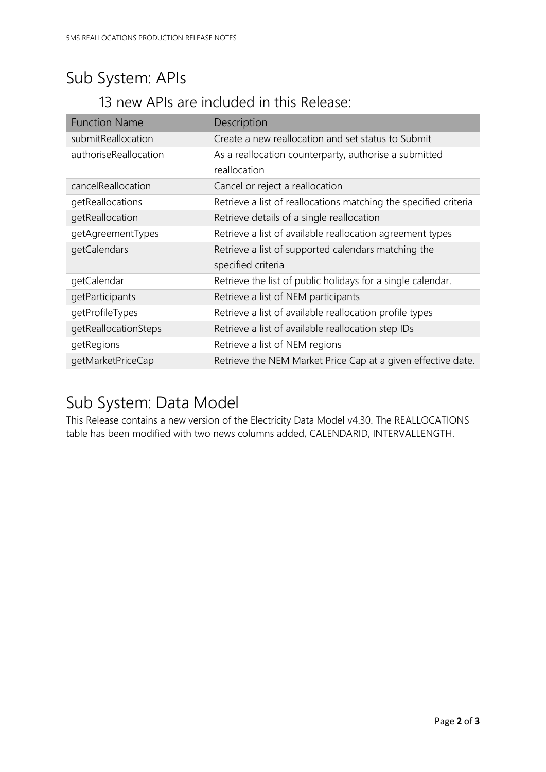# Sub System: APIs

### 13 new APIs are included in this Release:

| <b>Function Name</b>  | Description                                                      |
|-----------------------|------------------------------------------------------------------|
| submitReallocation    | Create a new reallocation and set status to Submit               |
| authoriseReallocation | As a reallocation counterparty, authorise a submitted            |
|                       | reallocation                                                     |
| cancelReallocation    | Cancel or reject a reallocation                                  |
| getReallocations      | Retrieve a list of reallocations matching the specified criteria |
| getReallocation       | Retrieve details of a single reallocation                        |
| getAgreementTypes     | Retrieve a list of available reallocation agreement types        |
| getCalendars          | Retrieve a list of supported calendars matching the              |
|                       | specified criteria                                               |
| getCalendar           | Retrieve the list of public holidays for a single calendar.      |
| getParticipants       | Retrieve a list of NEM participants                              |
| getProfileTypes       | Retrieve a list of available reallocation profile types          |
| getReallocationSteps  | Retrieve a list of available reallocation step IDs               |
| getRegions            | Retrieve a list of NEM regions                                   |
| getMarketPriceCap     | Retrieve the NEM Market Price Cap at a given effective date.     |

# Sub System: Data Model

This Release contains a new version of the Electricity Data Model v4.30. The REALLOCATIONS table has been modified with two news columns added, CALENDARID, INTERVALLENGTH.